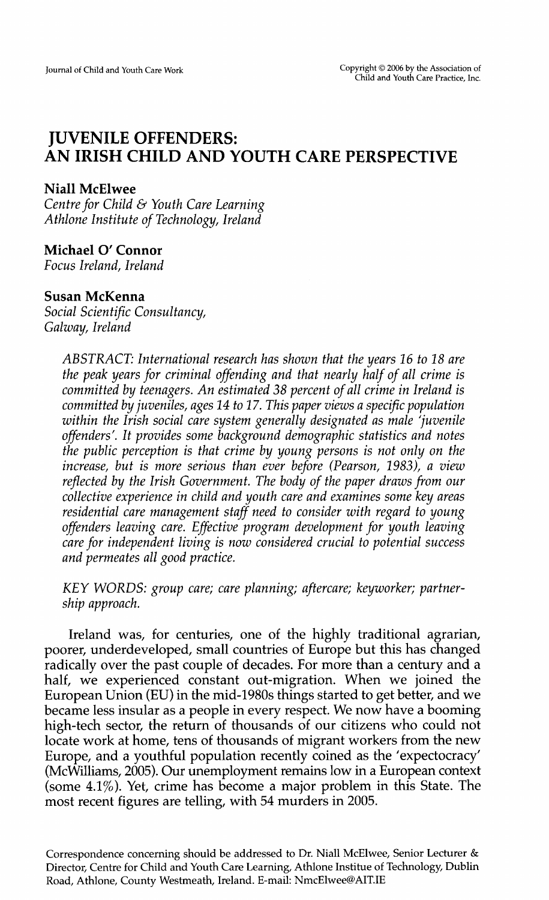# **JUVENILE OFFENDERS: AN IRISH CHILD AND YOUTH CARE PERSPECTIVE**

## **Niall McElwee**

*Centre for Child* & *Youth Care Learning Athlone Institute of Technology, Ireland* 

# **Michael 0' Connor**

*Focus Ireland, Ireland* 

# **Susan McKenna**

*Social Scientific Consultancy, Galway, Ireland* 

> *ABSTRACT: International research has shown that the years 16 to 18 are the peak years for criminal offending and that nearly half of all crime is committed by teenagers. An estimated 38 percent of all crime in Ireland is committed by juveniles, ages 14 to 17. This paper views a specific population within the Irish social care system generally designated as male 'juvenile offenders'.* It *provides some background demographic statistics and notes the public perception is that crime by young persons is not only on the increase, but is more serious than ever before (Pearson, 1983), a view reflected by the Irish Government. The body of the paper draws from our collective experience in child and youth care and examines some key areas residential care management staff need to consider with regard to young offenders leaving care. Effective program development for youth leaving care for independent living is now considered crucial to potential success and permeates all good practice.*

> *KEY WORDS: group care; care planning; aftercare; keyworker; partnership approach.*

Ireland was, for centuries, one of the highly traditional agrarian, poorer, underdeveloped, small countries of Europe but this has changed radically over the past couple of decades. For more than a century and a half, we experienced constant out-migration. When we joined the European Union (EU) in the mid-1980s things started to get better, and we became less insular as a people in every respect. We now have a booming high-tech sector, the return of thousands of our citizens who could not locate work at home, tens of thousands of migrant workers from the new Europe, and a youthful population recently coined as the 'expectocracy' (McWilliams, 2005). Our unemployment remains low in a European context (some 4.1%). Yet, crime has become a major problem in this State. The most recent figures are telling, with 54 murders in 2005.

Correspondence concerning should be addressed to Dr. Niall McElwee, Senior Lecturer & Director, Centre for Child and Youth Care Learning, Athlone Institue of Technology, Dublin Road, Athlone, County Westmeath, Ireland. E-mail: NmcElwee@AIT.IE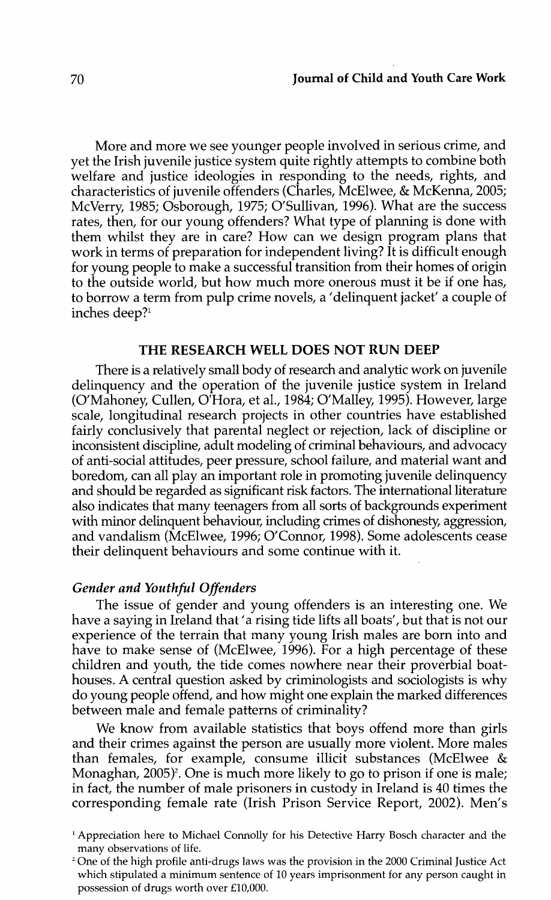More and more we see younger people involved in serious crime, and yet the Irish juvenile justice system quite rightly attempts to combine both welfare and justice ideologies in responding to the needs, rights, and characteristics of juvenile offenders (Charles, McElwee, & McKenna, 2005; McVerry, 1985; Osborough, 1975; O'Sullivan, 1996). What are the success rates, then, for our young offenders? What type of planning is done with them whilst they are in care? How can we design program plans that work in terms of preparation for independent living? It is difficult enough for young people to make a successful transition from their homes of origin to the outside world, but how much more onerous must it be if one has, to borrow a term from pulp crime novels, a 'delinquent jacket' a couple of inches deep?<sup>1</sup>

#### THE RESEARCH WELL DOES NOT RUN DEEP

There is a relatively small body of research and analytic work on juvenile delinquency and the operation of the juvenile justice system in Ireland (O'Mahoney, Cullen, O'Hara, et al., 1984; O'Malley, 1995). However, large scale, longitudinal research projects in other countries have established fairly conclusively that parental neglect or rejection, lack of discipline or inconsistent discipline, adult modeling of criminal behaviours, and advocacy of anti-social attitudes, peer pressure, school failure, and material want and boredom, can all play an important role in promoting juvenile delinquency and should be regarded as significant risk factors. The international literature also indicates that many teenagers from all sorts of backgrounds experiment with minor delinquent behaviour, including crimes of dishonesty, aggression, and vandalism (McElwee, 1996; O'Connor, 1998). Some adolescents cease their delinquent behaviours and some continue with it.

#### *Gender and Youthful Offenders*

The issue of gender and young offenders is an interesting one. We have a saying in Ireland that' a rising tide lifts all boats', but that is not our experience of the terrain that many young Irish males are born into and have to make sense of (McElwee, 1996). For a high percentage of these children and youth, the tide comes nowhere near their proverbial boathouses. A central question asked by criminologists and sociologists is why do young people offend, and how might one explain the marked differences between male and female patterns of criminality?

We know from available statistics that boys offend more than girls and their crimes against the person are usually more violent. More males than females, for example, consume illicit substances (McElwee  $\&$ Monaghan,  $2005$ <sup> $\text{P}$ </sup>. One is much more likely to go to prison if one is male; in fact, the number of male prisoners in custody in Ireland is 40 times the corresponding female rate (Irish Prison Service Report, 2002). Men's

t. Appreciation here to Michael Connolly for his Detective Harry Bosch character and the many observations of life.<br><sup>2</sup> One of the high profile anti-drugs laws was the provision in the 2000 Criminal Justice Act

which stipulated a minimum sentence of 10 years imprisonment for any person caught in possession of drugs worth over £10,000.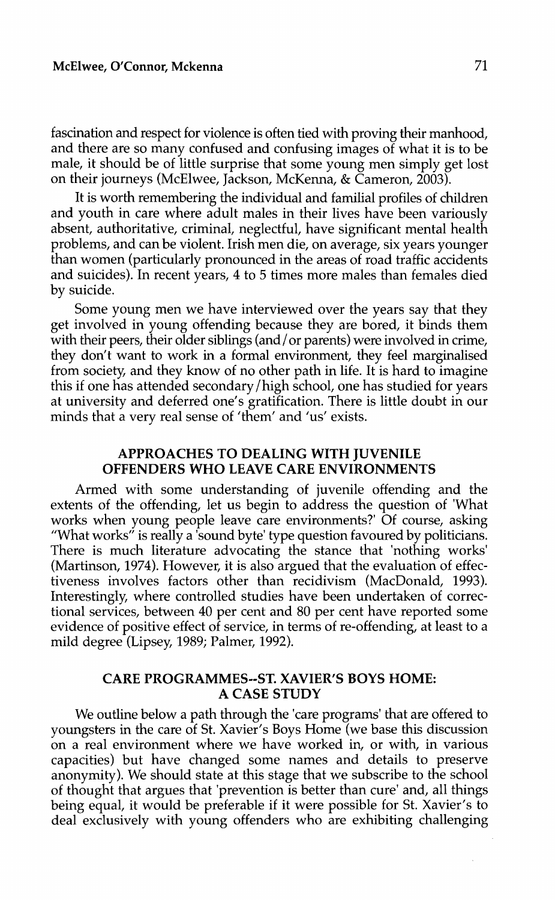fascination and respect for violence is often tied with proving their manhood, and there are so many confused and confusing images of what it is to be male, it should be of little surprise that some young men simply get lost on their journeys (McElwee, Jackson, McKenna, & Cameron, 2003 ).

It is worth remembering the individual and familial profiles of children and youth in care where adult males in their lives have been variously absent, authoritative, criminal, neglectful, have significant mental health problems, and can be violent. Irish men die, on average, six years younger than women (particularly pronounced in the areas of road traffic accidents and suicides). In recent years, 4 to 5 times more males than females died by suicide.

Some young men we have interviewed over the years say that they get involved in young offending because they are bored, it binds them with their peers, their older siblings (and / or parents) were involved in crime, they don't want to work in a formal environment, they feel marginalised from society, and they know of no other path in life. It is hard to imagine this if one has attended secondary /high school, one has studied for years at university and deferred one's gratification. There is little doubt in our minds that a very real sense of 'them' and 'us' exists.

## **APPROACHES TO DEALING WITH JUVENILE OFFENDERS WHO LEAVE CARE ENVIRONMENTS**

Armed with some understanding of juvenile offending and the extents of the offending, let us begin to address the question of 'What works when young people leave care environments?' Of course, asking "What works" is really a 'sound byte' type question favoured by politicians. There is much literature advocating the stance that 'nothing works' (Martinson, 1974). However, it is also argued that the evaluation of effectiveness involves factors other than recidivism (MacDonald, 1993). Interestingly, where controlled studies have been undertaken of correctional services, between 40 per cent and 80 per cent have reported some evidence of positive effect of service, in terms of re-offending, at least to a mild degree (Lipsey, 1989; Palmer, 1992).

## **CARE PROGRAMMES--ST. XAVIER'S BOYS HOME: A CASE STUDY**

We outline below a path through the 'care programs' that are offered to youngsters in the care of St. Xavier's Boys Home (we base this discussion on a real environment where we have worked in, or with, in various capacities) but have changed some names and details to preserve anonymity). We should state at this stage that we subscribe to the school of thought that argues that 'prevention is better than cure' and, all things being equal, it would be preferable if it were possible for St. Xavier's to deal exclusively with young offenders who are exhibiting challenging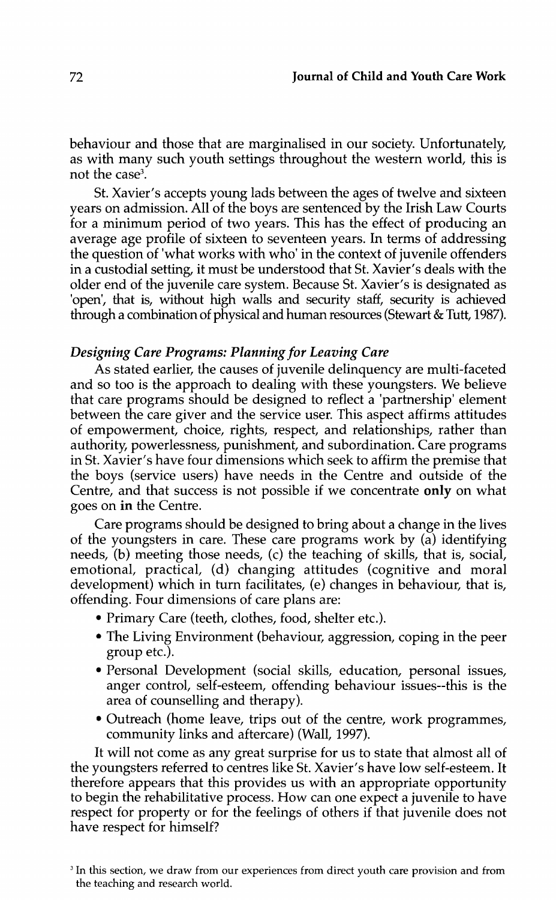behaviour and those that are marginalised in our society. Unfortunately, as with many such youth settings throughout the western world, this is not the case<sup>3</sup>.

St. Xavier's accepts young lads between the ages of twelve and sixteen years on admission. All of the boys are sentenced by the Irish Law Courts for a minimum period of two years. This has the effect of producing an average age profile of sixteen to seventeen years. In terms of addressing the question of 'what works with who' in the context of juvenile offenders in a custodial setting, it must be understood that St. Xavier's deals with the older end of the juvenile care system. Because St. Xavier's is designated as 'open', that is, without high walls and security staff, security is achieved through a combination of physical and human resources (Stewart & Tutt, 1987).

## *Designing Care Programs: Planning for Leaving Care*

As stated earlier, the causes of juvenile delinquency are multi-faceted and so too is the approach to dealing with these youngsters. We believe that care programs should be designed to reflect a 'partnership' element between the care giver and the service user. This aspect affirms attitudes of empowerment, choice, rights, respect, and relationships, rather than authority, powerlessness, punishment, and subordination. Care programs in St. Xavier's have four dimensions which seek to affirm the premise that the boys (service users) have needs in the Centre and outside of the Centre, and that success is not possible if we concentrate only on what goes on in the Centre.

Care programs should be designed to bring about a change in the lives of the youngsters in care. These care programs work by (a) identifying needs, (b) meeting those needs, (c) the teaching of skills, that is, social, emotional, practical, (d) changing attitudes (cognitive and moral development) which in turn facilitates, (e) changes in behaviour, that is, offending. Four dimensions of care plans are:

- Primary Care (teeth, clothes, food, shelter etc.).
- The Living Environment (behaviour, aggression, coping in the peer group etc.).
- Personal Development (social skills, education, personal issues, anger control, self-esteem, offending behaviour issues--this is the area of counselling and therapy).
- Outreach (home leave, trips out of the centre, work programmes, community links and aftercare) (Wall, 1997).

It will not come as any great surprise for us to state that almost all of the youngsters referred to centres like St. Xavier's have low self-esteem. It therefore appears that this provides us with an appropriate opportunity to begin the rehabilitative process. How can one expect a juvenile to have respect for property or for the feelings of others if that juvenile does not have respect for himself?

<sup>&</sup>lt;sup>3</sup> In this section, we draw from our experiences from direct youth care provision and from the teaching and research world.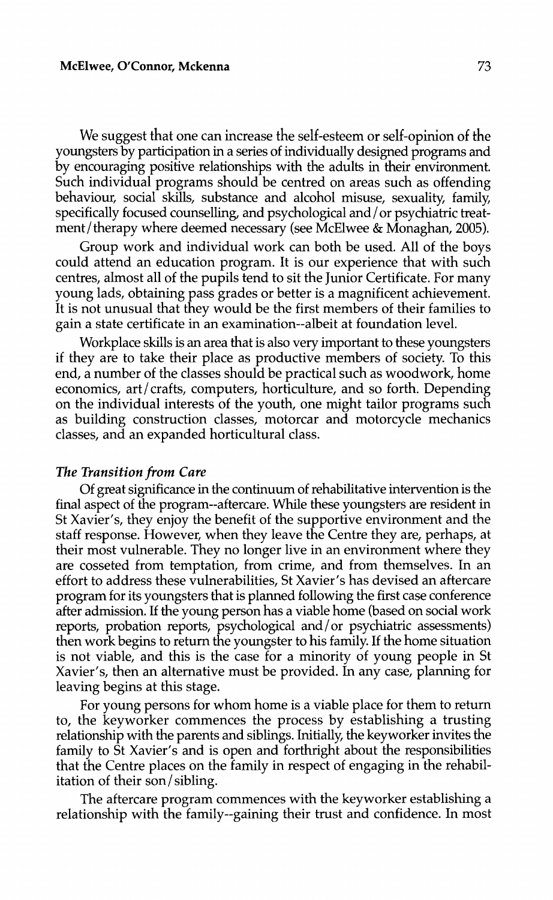We suggest that one can increase the self-esteem or self-opinion of the youngsters by participation in a series of individually designed programs and by encouraging positive relationships with the adults in their environment. Such individual programs should be centred on areas such as offending behaviour, social skills, substance and alcohol misuse, sexuality, family, specifically focused counselling, and psychological and / or psychiatric treatment/ therapy where deemed necessary (see McElwee & Monaghan, 2005).

Group work and individual work can both be used. All of the boys could attend an education program. It is our experience that with such centres, almost all of the pupils tend to sit the Junior Certificate. For many young lads, obtaining pass grades or better is a magnificent achievement. It is not unusual that they would be the first members of their families to gain a state certificate in an examination--albeit at foundation level.

Workplace skills is an area that is also very important to these youngsters if they are to take their place as productive members of society. To this end, a number of the classes should be practical such as woodwork, home economics, art/crafts, computers, horticulture, and so forth. Depending on the individual interests of the youth, one might tailor programs such as building construction classes, motorcar and motorcycle mechanics classes, and an expanded horticultural class.

#### *The Transition from Care*

Of great significance in the continuum of rehabilitative intervention is the final aspect of the program--aftercare. While these youngsters are resident in St Xavier's, they enjoy the benefit of the supportive environment and the staff response. However, when they leave the Centre they are, perhaps, at their most vulnerable. They no longer live in an environment where they are cosseted from temptation, from crime, and from themselves. In an effort to address these vulnerabilities, St Xavier's has devised an aftercare program for its youngsters that is planned following the first case conference after admission. If the young person has a viable home (based on social work reports, probation reports, psychological and/or psychiatric assessments) then work begins to return the youngster to his family. If the home situation is not viable, and this is the case for a minority of young people in St Xavier's, then an alternative must be provided. In any case, planning for leaving begins at this stage.

For young persons for whom home is a viable place for them to return to, the keyworker commences the process by establishing a trusting relationship with the parents and siblings. Initially, the keyworker invites the family to St Xavier's and is open and forthright about the responsibilities that the Centre places on the family in respect of engaging in the rehabilitation of their son/ sibling.

The aftercare program commences with the keyworker establishing a relationship with the family--gaining their trust and confidence. In most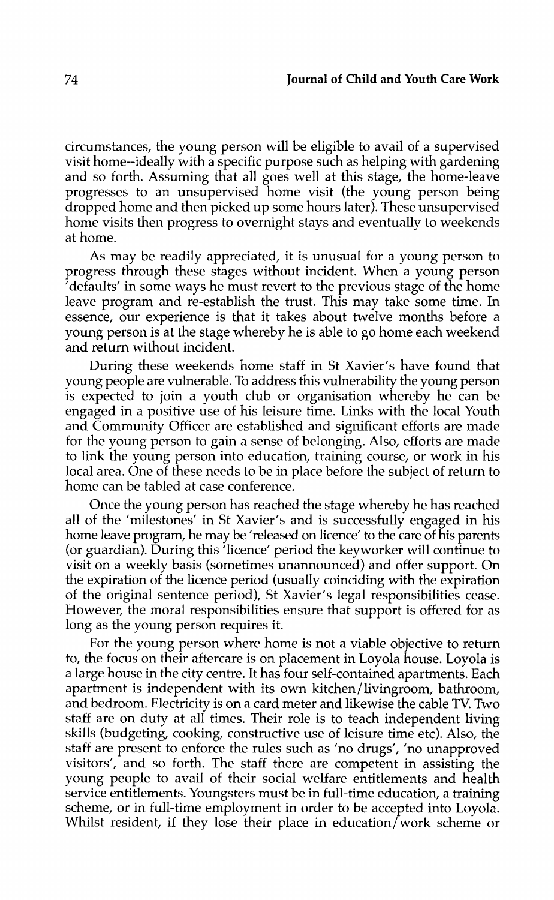circumstances, the young person will be eligible to avail of a supervised visit home--ideally with a specific purpose such as helping with gardening and so forth. Assuming that all goes well at this stage, the home-leave progresses to an unsupervised home visit (the young person being dropped home and then picked up some hours later). These unsupervised home visits then progress to overnight stays and eventually to weekends at home.

As may be readily appreciated, it is unusual for a young person to progress through these stages without incident. When a young person 'defaults' in some ways he must revert to the previous stage of the home leave program and re-establish the trust. This may take some time. In essence, our experience is that it takes about twelve months before a young person is at the stage whereby he is able to go home each weekend and return without incident.

During these weekends home staff in St Xavier's have found that young people are vulnerable. To address this vulnerability the young person is expected to join a youth club or organisation whereby he can be engaged in a positive use of his leisure time. Links with the local Youth and Community Officer are established and significant efforts are made for the young person to gain a sense of belonging. Also, efforts are made to link the young person into education, training course, or work in his local area. One of these needs to be in place before the subject of return to home can be tabled at case conference.

Once the young person has reached the stage whereby he has reached all of the 'milestones' in St Xavier's and is successfully engaged in his home leave program, he may be 'released on licence' to the care of his parents (or guardian). During this 'licence' period the keyworker will continue to visit on a weekly basis (sometimes unannounced) and offer support. On the expiration of the licence period (usually coinciding with the expiration of the original sentence period), St Xavier's legal responsibilities cease. However, the moral responsibilities ensure that support is offered for as long as the young person requires it.

For the young person where home is not a viable objective to return to, the focus on their aftercare is on placement in Loyola house. Loyola is a large house in the city centre. It has four self-contained apartments. Each apartment is independent with its own kitchen/livingroom, bathroom, and bedroom. Electricity is on a card meter and likewise the cable TV. Two staff are on duty at all times. Their role is to teach independent living skills (budgeting, cooking, constructive use of leisure time etc). Also, the staff are present to enforce the rules such as 'no drugs', 'no unapproved visitors', and so forth. The staff there are competent in assisting the young people to avail of their social welfare entitlements and health service entitlements. Youngsters must be in full-time education, a training scheme, or in full-time employment in order to be accepted into Loyola. Whilst resident, if they lose their place in education/work scheme or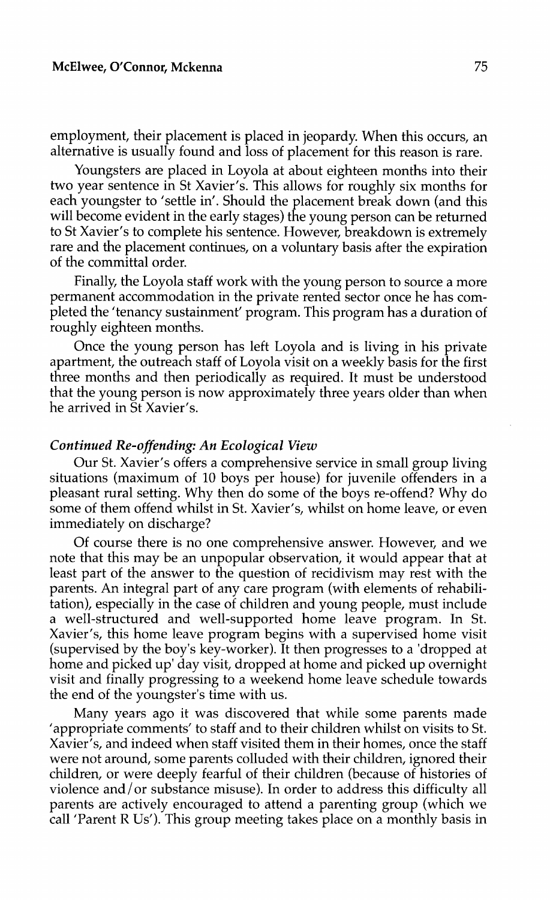employment, their placement is placed in jeopardy. When this occurs, an alternative is usually found and loss of placement for this reason is rare.

Youngsters are placed in Loyola at about eighteen months into their two year sentence in St Xavier's. This allows for roughly six months for each youngster to 'settle in'. Should the placement break down (and this will become evident in the early stages) the young person can be returned to St Xavier's to complete his sentence. However, breakdown is extremely rare and the placement continues, on a voluntary basis after the expiration of the committal order.

Finally, the Loyola staff work with the young person to source a more permanent accommodation in the private rented sector once he has completed the 'tenancy sustainment' program. This program has a duration of roughly eighteen months.

Once the young person has left Loyola and is living in his private apartment, the outreach staff of Loyola visit on a weekly basis for the first three months and then periodically as required. It must be understood that the young person is now approximately three years older than when he arrived in St Xavier's.

#### *Continued Re-offending: An Ecological View*

Our St. Xavier's offers a comprehensive service in small group living situations (maximum of 10 boys per house) for juvenile offenders in a pleasant rural setting. Why then do some of the boys re-offend? Why do some of them offend whilst in St. Xavier's, whilst on home leave, or even immediately on discharge?

Of course there is no one comprehensive answer. However, and we note that this may be an unpopular observation, it would appear that at least part of the answer to the question of recidivism may rest with the parents. An integral part of any care program (with elements of rehabilitation), especially in the case of children and young people, must include a well-structured and well-supported home leave program. In St. Xavier's, this home leave program begins with a supervised home visit (supervised by the boy's key-worker). It then progresses to a 'dropped at home and picked up' day visit, dropped at home and picked up overnight visit and finally progressing to a weekend home leave schedule towards the end of the youngster's time with us.

Many years ago it was discovered that while some parents made *<sup>1</sup>*appropriate comments' to staff and to their children whilst on visits to St. Xavier's, and indeed when staff visited them in their homes, once the staff were not around, some parents colluded with their children, ignored their children, or were deeply fearful of their children (because of histories of violence and/ or substance misuse). In order to address this difficulty all parents are actively encouraged to attend a parenting group (which we call <sup>1</sup> Parent R Us'). This group meeting takes place on a monthly basis in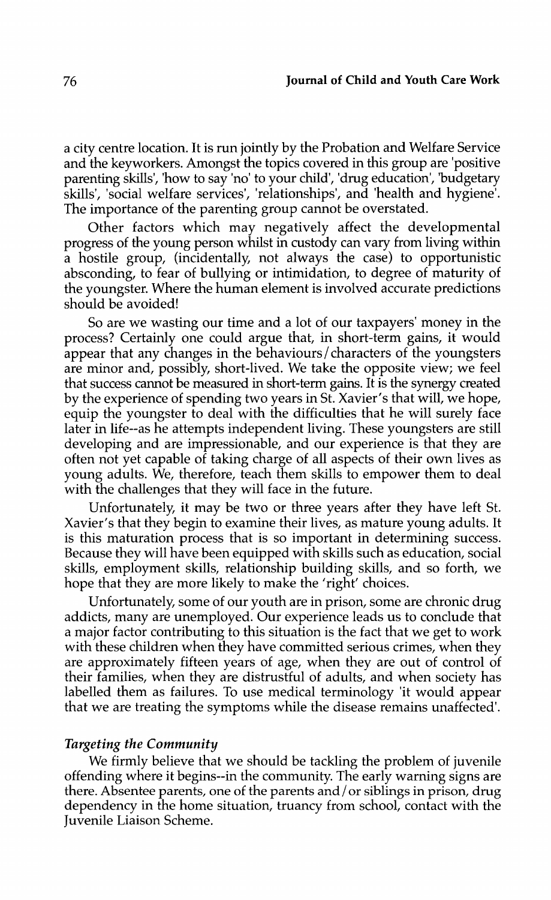a city centre location. It is run jointly by the Probation and Welfare Service and the keyworkers. Amongst the topics covered in this group are 'positive parenting skills', 'how to say 'no' to your child', 'drug education', 'budgetary skills', 'social welfare services', 'relationships', and 'health and hygiene'. The importance of the parenting group cannot be overstated.

Other factors which may negatively affect the developmental progress of the young person whilst in custody can vary from living within a hostile group, (incidentally, not always the case) to opportunistic absconding, to fear of bullying or intimidation, to degree of maturity of the youngster. Where the human element is involved accurate predictions should be avoided!

So are we wasting our time and a lot of our taxpayers' money in the process? Certainly one could argue that, in short-term gains, it would appear that any changes in the behaviours/characters of the youngsters are minor and, possibly, short-lived. We take the opposite view; we feel that success cannot be measured in short-term gains. It is the synergy created by the experience of spending two years in St. Xavier's that will, we hope, equip the youngster to deal with the difficulties that he will surely face later in life--as he attempts independent living. These youngsters are still developing and are impressionable, and our experience is that they are often not yet capable of taking charge of all aspects of their own lives as young adults. We, therefore, teach them skills to empower them to deal with the challenges that they will face in the future.

Unfortunately, it may be two or three years after they have left St. Xavier's that they begin to examine their lives, as mature young adults. It is this maturation process that is so important in determining success. Because they will have been equipped with skills such as education, social skills, employment skills, relationship building skills, and so forth, we hope that they are more likely to make the 'right' choices.

Unfortunately, some of our youth are in prison, some are chronic drug addicts, many are unemployed. Our experience leads us to conclude that a major factor contributing to this situation is the fact that we get to work with these children when they have committed serious crimes, when they are approximately fifteen years of age, when they are out of control of their families, when they are distrustful of adults, and when society has labelled them as failures. To use medical terminology 'it would appear that we are treating the symptoms while the disease remains unaffected'.

#### *Targeting the Community*

We firmly believe that we should be tackling the problem of juvenile offending where it begins--in the community. The early warning signs are there. Absentee parents, one of the parents and / or siblings in prison, drug dependency in the home situation, truancy from school, contact with the Juvenile Liaison Scheme.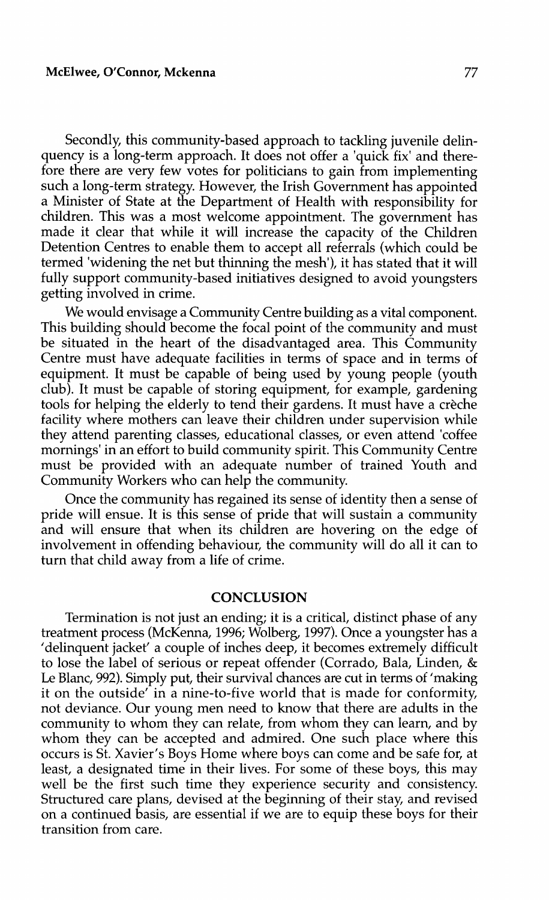Secondly, this community-based approach to tackling juvenile delinquency is a long-term approach. It does not offer a 'quick fix' and therefore there are very few votes for politicians to gain from implementing such a long-term strategy. However, the Irish Government has appointed a Minister of State at the Department of Health with responsibility for children. This was a most welcome appointment. The government has made it clear that while it will increase the capacity of the Children Detention Centres to enable them to accept all referrals (which could be termed 'widening the net but thinning the mesh'), it has stated that it will fully support community-based initiatives designed to avoid youngsters getting involved in crime.

We would envisage a Community Centre building as a vital component. This building should become the focal point of the community and must be situated in the heart of the disadvantaged area. This Community Centre must have adequate facilities in terms of space and in terms of equipment. It must be capable of being used by young people (youth club). It must be capable of storing equipment, for example, gardening tools for helping the elderly to tend their gardens. It must have a creche facility where mothers can leave their children under supervision while they attend parenting classes, educational classes, or even attend 'coffee mornings' in an effort to build community spirit. This Community Centre must be provided with an adequate number of trained Youth and Community Workers who can help the community.

Once the community has regained its sense of identity then a sense of pride will ensue. It is this sense of pride that will sustain a community and will ensure that when its children are hovering on the edge of involvement in offending behaviour, the community will do all it can to turn that child away from a life of crime.

## **CONCLUSION**

Termination is not just an ending; it is a critical, distinct phase of any treatment process (McKenna, 1996; Walberg, 1997). Once a youngster has a 'delinquent jacket' a couple of inches deep, it becomes extremely difficult to lose the label of serious or repeat offender (Corrado, Bala, Linden, & Le Blanc, 992). Simply put, their survival chances are cut in terms of 'making it on the outside' in a nine-to-five world that is made for conformity, not deviance. Our young men need to know that there are adults in the community to whom they can relate, from whom they can learn, and by whom they can be accepted and admired. One such place where this occurs is St. Xavier's Boys Home where boys can come and be safe for, at least, a designated time in their lives. For some of these boys, this may well be the first such time they experience security and consistency. Structured care plans, devised at the beginning of their stay, and revised on a continued basis, are essential if we are to equip these boys for their transition from care.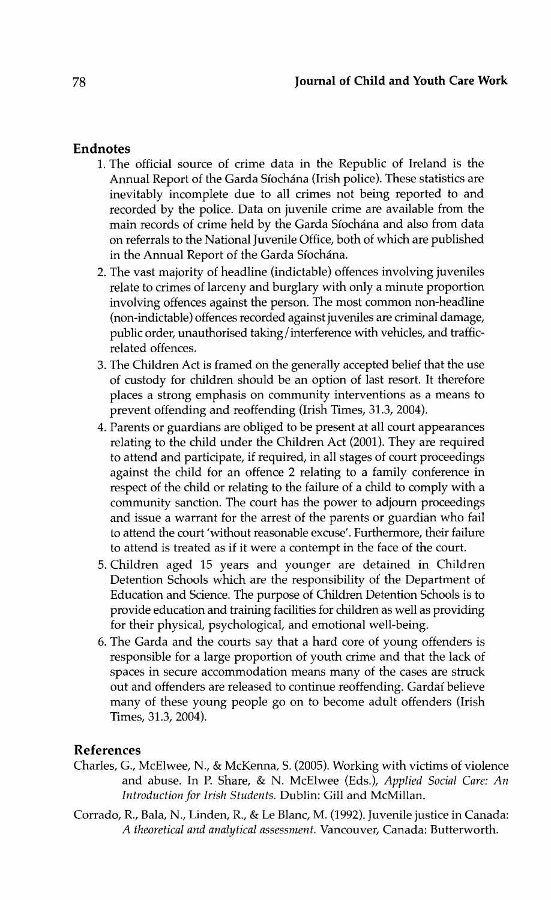# **Endnotes**

- 1. The official source of crime data in the Republic of Ireland is the Annual Report of the Garda Síochána (Irish police). These statistics are inevitably incomplete due to all crimes not being reported to and recorded by the police. Data on juvenile crime are available from the main records of crime held by the Garda Síochána and also from data on referrals to the National Juvenile Office, both of which are published in the Annual Report of the Garda Síochána.
- 2. The vast majority of headline (indictable) offences involving juveniles relate to crimes of larceny and burglary with only a minute proportion involving offences against the person. The most common non-headline (non-indictable) offences recorded against juveniles are criminal damage, public order, unauthorised taking/ interference with vehicles, and trafficrelated offences.
- 3. The Children Act is framed on the generally accepted belief that the use of custody for children should be an option of last resort. It therefore places a strong emphasis on community interventions as a means to prevent offending and reoffending (Irish Times, 31.3, 2004).
- 4. Parents or guardians are obliged to be present at all court appearances relating to the child under the Children Act (2001). They are required to attend and participate, if required, in all stages of court proceedings against the child for an offence 2 relating to a family conference in respect of the child or relating to the failure of a child to comply with a community sanction. The court has the power to adjourn proceedings and issue a warrant for the arrest of the parents or guardian who fail to attend the court 'without reasonable excuse'. Furthermore, their failure to attend is treated as if it were a contempt in the face of the court.
- 5. Children aged 15 years and younger are detained in Children Detention Schools which are the responsibility of the Department of Education and Science. The purpose of Children Detention Schools is to provide education and training facilities for children as well as providing for their physical, psychological, and emotional well-being.
- 6. The Garda and the courts say that a hard core of young offenders is responsible for a large proportion of youth crime and that the lack of spaces in secure accommodation means many of the cases are struck out and offenders are released to continue reoffending. Gardai believe many of these young people go on to become adult offenders (Irish Times, 31.3, 2004).

## **References**

- Charles, G., McElwee, N., & McKenna, S. (2005). Working with victims of violence and abuse. In P. Share, & N. McElwee (Eds.), *Applied Social Care: An Introduction for Irish Students.* Dublin: Gill and McMillan.
- Corrado, R., Bala, N., Linden, R., & LeBlanc, M. (1992). Juvenile justice in Canada: *A theoretical and analytical assessment.* Vancouver, Canada: Butterworth.